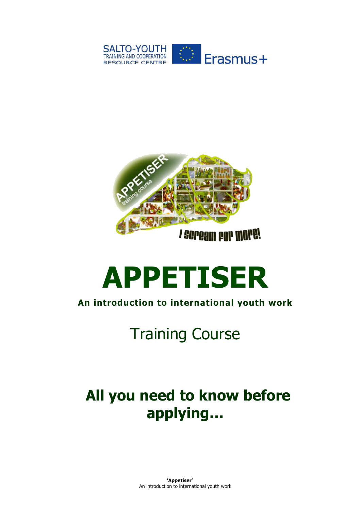



# **APPETISER**

#### **An introduction to international youth work**

# Training Course

# **All you need to know before applying…**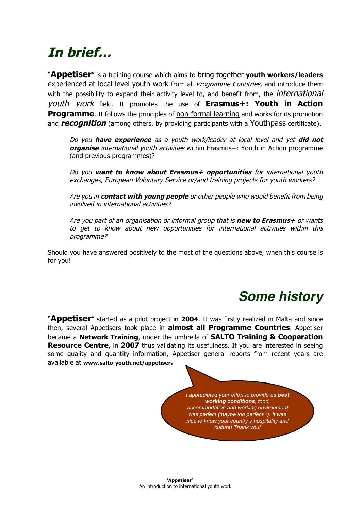## **In brief…**

"**Appetiser**" is a training course which aims to bring together **youth workers/leaders** experienced at local level youth work from all *Programme Countries*, and introduce them with the possibility to expand their activity level to, and benefit from, the *international* youth work field. It promotes the use of **Erasmus+: Youth in Action Programme**. It follows the principles of non-formal learning and works for its promotion and **recognition** (among others, by providing participants with a Youthpass certificate).

Do you **have experience** as <sup>a</sup> youth work/leader at local level and yet **did not organise** international youth activities within Erasmus+: Youth in Action programme (and previous programmes)?

Do you **want to know about Erasmus+ opportunities** for international youth exchanges, European Voluntary Service or/and training projects for youth workers?

Are you in **contact with young people** or other people who would benefit from being involved in international activities?

Are you part of an organisation or informal group that is **new to Erasmus+** or wants to get to know about new opportunities for international activities within this programme?

Should you have answered positively to the most of the questions above, when this course is for you!

## *Some history*

"**Appetiser**" started as a pilot project in **2004**. It was firstly realized in Malta and since then, several Appetisers took place in **almost all Programme Countries**. Appetiser became a **Network Training**, under the umbrella of **SALTO Training & Cooperation Resource Centre**, in 2007 thus validating its usefulness. If you are interested in seeing some quality and quantity information, Appetiser general reports from recent years are available at **www.salto-youth.net/appetiser.**

> *I appreciated your effort to provide us best working conditions, food, accommodation and working environment was perfect (maybe too perfect*☺*). It was nice to know your country's hospitality and culture! Thank you!*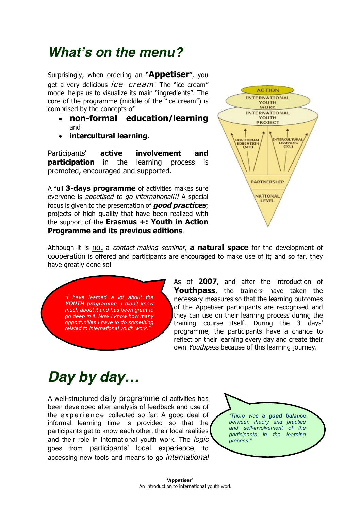### *What's on the menu?*

Surprisingly, when ordering an "**Appetiser**", you get a very delicious *ice* cream! The "ice cream" model helps us to visualize its main "ingredients". The core of the programme (middle of the "ice cream") is comprised by the concepts of

- **non-formal education/learning** and
- **intercultural learning.**

Participants' **active involvement and participation** in the learning process is promoted, encouraged and supported.

A full **3-days programme** of activities makes sure everyone is appetised to go international!!! A special focus is given to the presentation of **good practices**; projects of high quality that have been realized with the support of the **Erasmus +: Youth in Action Programme and its previous editions**.



Although it is not a contact-making seminar, **a natural space** for the development of cooperation is offered and participants are encouraged to make use of it; and so far, they have greatly done so!

*"I have learned a lot about the YOUTH programme. I didn't know much about it and has been great to go deep in it. Now I know how many opportunities I have to do something related to international youth work."*

As of **2007**, and after the introduction of **Youthpass**, the trainers have taken the necessary measures so that the learning outcomes of the Appetiser participants are recognised and they can use on their learning process during the training course itself. During the 3 days' programme, the participants have a chance to reflect on their learning every day and create their own Youthpass because of this learning journey.

# *Day by day…*

A well-structured daily programme of activities has been developed after analysis of feedback and use of the experience collected so far. A good deal of informal learning time is provided so that the participants get to know each other, their local realities and their role in international youth work. The *logic* goes from participants' local experience, to accessing new tools and means to go *international*

*"There was a good balance between theory and practice and self-involvement of the participants in the learning process."*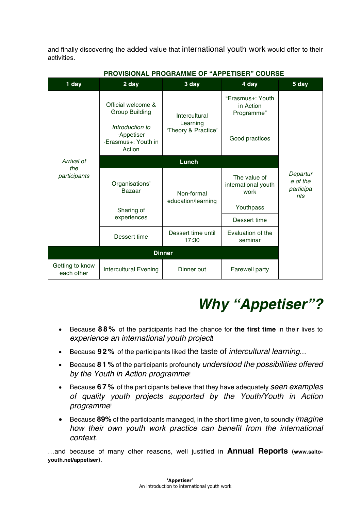and finally discovering the added value that international youth work would offer to their activities.

| 1 day                             | 2 day                                                          | 3 day                                            | 4 day                                       | 5 day                                    |
|-----------------------------------|----------------------------------------------------------------|--------------------------------------------------|---------------------------------------------|------------------------------------------|
| Arrival of<br>the<br>participants | Official welcome &<br><b>Group Building</b>                    | Intercultural<br>Learning<br>'Theory & Practice' | "Erasmus+: Youth<br>in Action<br>Programme" |                                          |
|                                   | Introduction to<br>-Appetiser<br>-Erasmus+: Youth in<br>Action |                                                  | Good practices                              |                                          |
|                                   | Lunch                                                          |                                                  |                                             |                                          |
|                                   | Organisations'<br>Bazaar                                       | Non-formal<br>education/learning                 | The value of<br>international youth<br>work | Departur<br>e of the<br>participa<br>nts |
|                                   | Sharing of<br>experiences                                      |                                                  | Youthpass                                   |                                          |
|                                   |                                                                |                                                  | Dessert time                                |                                          |
|                                   | Dessert time                                                   | Dessert time until<br>17:30                      | Evaluation of the<br>seminar                |                                          |
| <b>Dinner</b>                     |                                                                |                                                  |                                             |                                          |
| Getting to know<br>each other     | <b>Intercultural Evening</b>                                   | Dinner out                                       | <b>Farewell party</b>                       |                                          |

#### **PROVISIONAL PROGRAMME OF "APPETISER" COURSE**

# *Why "Appetiser"?*

- Because **88%** of the participants had the chance for **the first time** in their lives to *experience an international youth project*!
- Because **92%** of the participants liked the taste of *intercultural learning*…
- Because **8 1 %** of the participants profoundly *understood the possibilities offered by the Youth in Action programme*!
- Because **67%** of the participants believe that they have adequately *seen examples of quality youth projects supported by the Youth/Youth in Action programme*!
- Because **89%** of the participants managed, in the short time given, to soundly *imagine how their own youth work practice can benefit from the international context*.

…and because of many other reasons, well justified in **Annual Reports** (**www.saltoyouth.net/appetiser**).